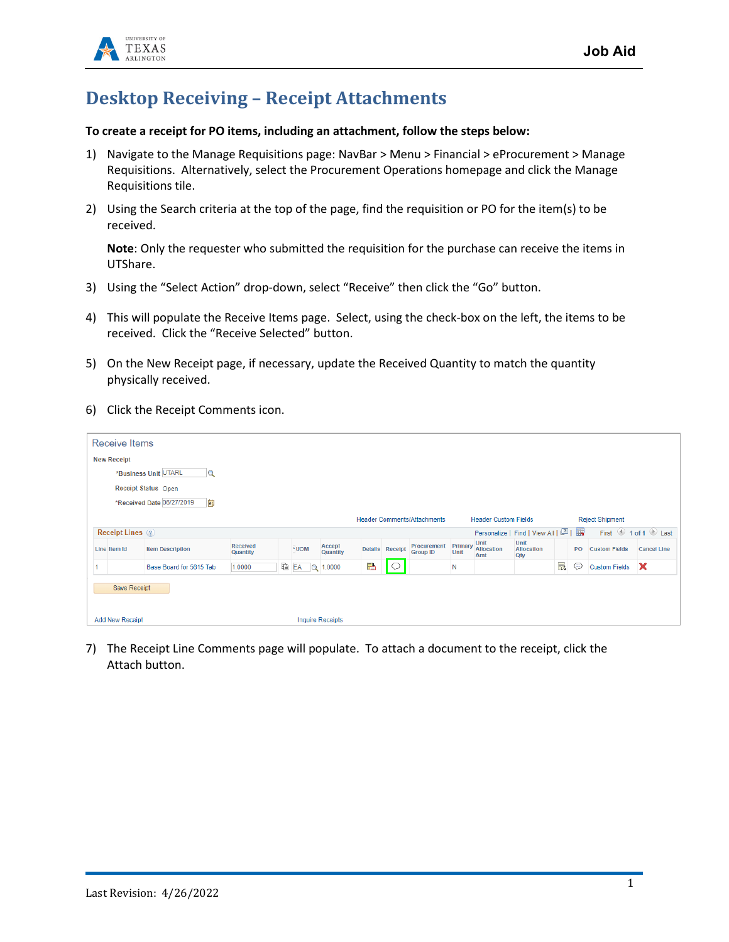

## **Desktop Receiving – Receipt Attachments**

## **To create a receipt for PO items, including an attachment, follow the steps below:**

- 1) Navigate to the Manage Requisitions page: NavBar > Menu > Financial > eProcurement > Manage Requisitions. Alternatively, select the Procurement Operations homepage and click the Manage Requisitions tile.
- 2) Using the Search criteria at the top of the page, find the requisition or PO for the item(s) to be received.

**Note**: Only the requester who submitted the requisition for the purchase can receive the items in UTShare.

- 3) Using the "Select Action" drop-down, select "Receive" then click the "Go" button.
- 4) This will populate the Receive Items page. Select, using the check-box on the left, the items to be received. Click the "Receive Selected" button.
- 5) On the New Receipt page, if necessary, update the Received Quantity to match the quantity physically received.
- 6) Click the Receipt Comments icon.

| Receive Items                       |                         |                      |    |                         |                    |   |                 |                                    |                 |                             |                                       |   |    |                        |                                         |
|-------------------------------------|-------------------------|----------------------|----|-------------------------|--------------------|---|-----------------|------------------------------------|-----------------|-----------------------------|---------------------------------------|---|----|------------------------|-----------------------------------------|
| <b>New Receipt</b>                  |                         |                      |    |                         |                    |   |                 |                                    |                 |                             |                                       |   |    |                        |                                         |
| *Business Unit UTARL<br>$\mathbf Q$ |                         |                      |    |                         |                    |   |                 |                                    |                 |                             |                                       |   |    |                        |                                         |
| Receipt Status Open                 |                         |                      |    |                         |                    |   |                 |                                    |                 |                             |                                       |   |    |                        |                                         |
| *Received Date 06/27/2019<br>E      |                         |                      |    |                         |                    |   |                 |                                    |                 |                             |                                       |   |    |                        |                                         |
|                                     |                         |                      |    |                         |                    |   |                 | <b>Header Comments/Attachments</b> |                 | <b>Header Custom Fields</b> |                                       |   |    | <b>Reject Shipment</b> |                                         |
| Receipt Lines ?                     |                         |                      |    |                         |                    |   |                 |                                    |                 |                             | Personalize   Find   View All   2   ま |   |    |                        | First $\bigcirc$ 1 of 1 $\bigcirc$ Last |
| Line Item Id                        | <b>Item Description</b> | Received<br>Quantity |    | *UOM                    | Accept<br>Quantity |   | Details Receipt | Procurement<br><b>Group ID</b>     | Primary<br>Unit | Unit<br>Allocation<br>Amt   | Unit<br>Allocation<br>Qty             |   | PO | <b>Custom Fields</b>   | <b>Cancel Line</b>                      |
|                                     | Base Board for 5615 Tab | 1.0000               | lè | EA<br>$\alpha$          | 1.0000             | 晶 | $\circ$         |                                    | N               |                             |                                       | 最 | ⊜  | <b>Custom Fields</b>   | ×                                       |
| Save Receipt                        |                         |                      |    |                         |                    |   |                 |                                    |                 |                             |                                       |   |    |                        |                                         |
| <b>Add New Receipt</b>              |                         |                      |    | <b>Inquire Receipts</b> |                    |   |                 |                                    |                 |                             |                                       |   |    |                        |                                         |

7) The Receipt Line Comments page will populate. To attach a document to the receipt, click the Attach button.